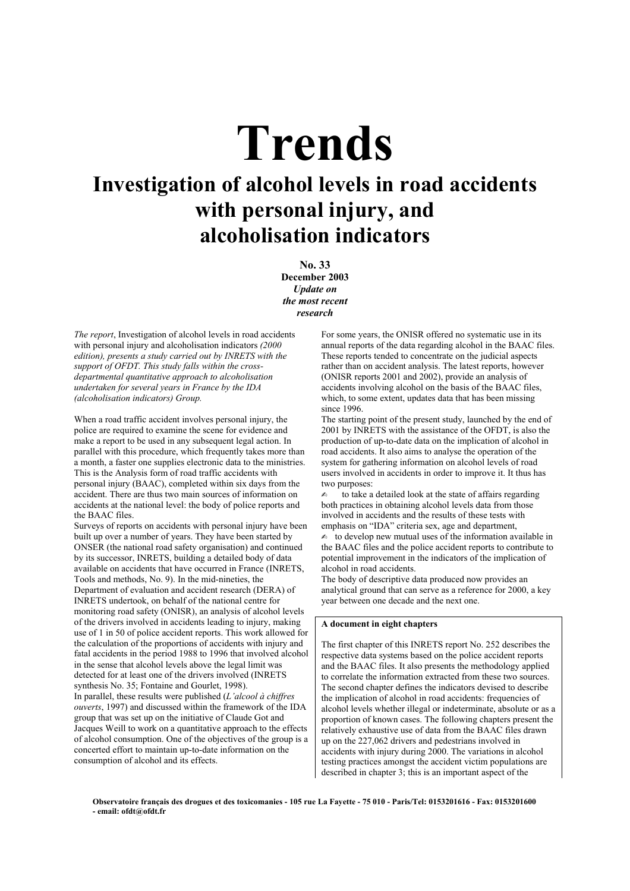# **Trends**

# **Investigation of alcohol levels in road accidents with personal injury, and alcoholisation indicators**

**No. 33 December 2003**  *Update on the most recent research*

*The report*, Investigation of alcohol levels in road accidents with personal injury and alcoholisation indicators *(2000 edition), presents a study carried out by INRETS with the support of OFDT. This study falls within the crossdepartmental quantitative approach to alcoholisation undertaken for several years in France by the IDA (alcoholisation indicators) Group.*

When a road traffic accident involves personal injury, the police are required to examine the scene for evidence and make a report to be used in any subsequent legal action. In parallel with this procedure, which frequently takes more than a month, a faster one supplies electronic data to the ministries. This is the Analysis form of road traffic accidents with personal injury (BAAC), completed within six days from the accident. There are thus two main sources of information on accidents at the national level: the body of police reports and the BAAC files.

Surveys of reports on accidents with personal injury have been built up over a number of years. They have been started by ONSER (the national road safety organisation) and continued by its successor, INRETS, building a detailed body of data available on accidents that have occurred in France (INRETS, Tools and methods, No. 9). In the mid-nineties, the Department of evaluation and accident research (DERA) of INRETS undertook, on behalf of the national centre for monitoring road safety (ONISR), an analysis of alcohol levels of the drivers involved in accidents leading to injury, making use of 1 in 50 of police accident reports. This work allowed for the calculation of the proportions of accidents with injury and fatal accidents in the period 1988 to 1996 that involved alcohol in the sense that alcohol levels above the legal limit was detected for at least one of the drivers involved (INRETS synthesis No. 35; Fontaine and Gourlet, 1998). In parallel, these results were published (*L'alcool à chiffres ouverts*, 1997) and discussed within the framework of the IDA group that was set up on the initiative of Claude Got and Jacques Weill to work on a quantitative approach to the effects of alcohol consumption. One of the objectives of the group is a concerted effort to maintain up-to-date information on the consumption of alcohol and its effects.

For some years, the ONISR offered no systematic use in its annual reports of the data regarding alcohol in the BAAC files. These reports tended to concentrate on the judicial aspects rather than on accident analysis. The latest reports, however (ONISR reports 2001 and 2002), provide an analysis of accidents involving alcohol on the basis of the BAAC files, which, to some extent, updates data that has been missing since 1996.

The starting point of the present study, launched by the end of 2001 by INRETS with the assistance of the OFDT, is also the production of up-to-date data on the implication of alcohol in road accidents. It also aims to analyse the operation of the system for gathering information on alcohol levels of road users involved in accidents in order to improve it. It thus has two purposes:

✍ to take a detailed look at the state of affairs regarding both practices in obtaining alcohol levels data from those involved in accidents and the results of these tests with emphasis on "IDA" criteria sex, age and department,  $\triangleq$  to develop new mutual uses of the information available in the BAAC files and the police accident reports to contribute to potential improvement in the indicators of the implication of alcohol in road accidents.

The body of descriptive data produced now provides an analytical ground that can serve as a reference for 2000, a key year between one decade and the next one.

## **A document in eight chapters**

The first chapter of this INRETS report No. 252 describes the respective data systems based on the police accident reports and the BAAC files. It also presents the methodology applied to correlate the information extracted from these two sources. The second chapter defines the indicators devised to describe the implication of alcohol in road accidents: frequencies of alcohol levels whether illegal or indeterminate, absolute or as a proportion of known cases. The following chapters present the relatively exhaustive use of data from the BAAC files drawn up on the 227,062 drivers and pedestrians involved in accidents with injury during 2000. The variations in alcohol testing practices amongst the accident victim populations are described in chapter 3; this is an important aspect of the

**Observatoire français des drogues et des toxicomanies - 105 rue La Fayette - 75 010 - Paris/Tel: 0153201616 - Fax: 0153201600 - email: ofdt@ofdt.fr**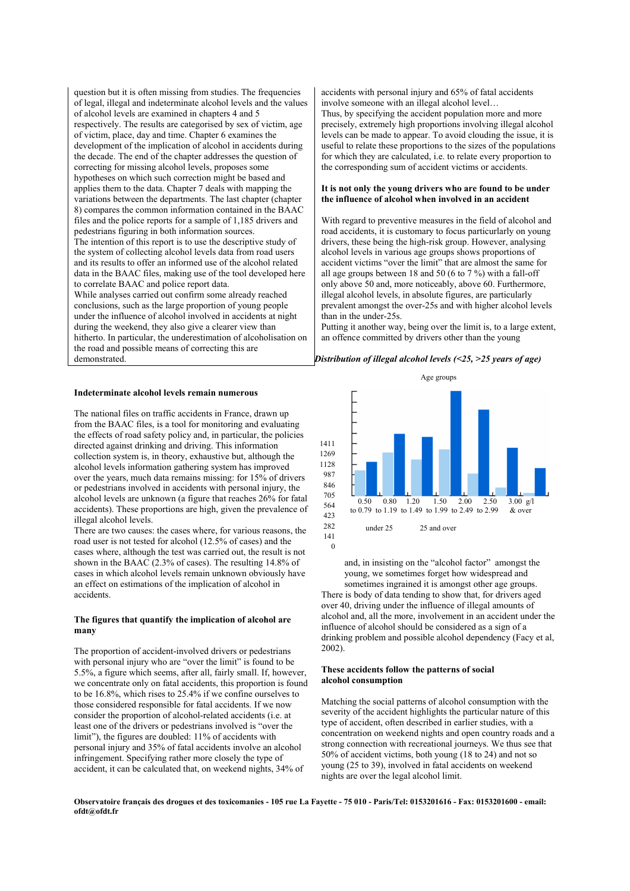question but it is often missing from studies. The frequencies of legal, illegal and indeterminate alcohol levels and the values of alcohol levels are examined in chapters 4 and 5 respectively. The results are categorised by sex of victim, age of victim, place, day and time. Chapter 6 examines the development of the implication of alcohol in accidents during the decade. The end of the chapter addresses the question of correcting for missing alcohol levels, proposes some hypotheses on which such correction might be based and applies them to the data. Chapter 7 deals with mapping the variations between the departments. The last chapter (chapter 8) compares the common information contained in the BAAC files and the police reports for a sample of 1,185 drivers and pedestrians figuring in both information sources. The intention of this report is to use the descriptive study of the system of collecting alcohol levels data from road users and its results to offer an informed use of the alcohol related data in the BAAC files, making use of the tool developed here to correlate BAAC and police report data. While analyses carried out confirm some already reached conclusions, such as the large proportion of young people under the influence of alcohol involved in accidents at night during the weekend, they also give a clearer view than hitherto. In particular, the underestimation of alcoholisation on the road and possible means of correcting this are demonstrated.

#### **Indeterminate alcohol levels remain numerous**

The national files on traffic accidents in France, drawn up from the BAAC files, is a tool for monitoring and evaluating the effects of road safety policy and, in particular, the policies directed against drinking and driving. This information collection system is, in theory, exhaustive but, although the alcohol levels information gathering system has improved over the years, much data remains missing: for 15% of drivers or pedestrians involved in accidents with personal injury, the alcohol levels are unknown (a figure that reaches 26% for fatal accidents). These proportions are high, given the prevalence of illegal alcohol levels.

There are two causes: the cases where, for various reasons, the road user is not tested for alcohol (12.5% of cases) and the cases where, although the test was carried out, the result is not shown in the BAAC (2.3% of cases). The resulting 14.8% of cases in which alcohol levels remain unknown obviously have an effect on estimations of the implication of alcohol in accidents.

#### **The figures that quantify the implication of alcohol are many**

The proportion of accident-involved drivers or pedestrians with personal injury who are "over the limit" is found to be 5.5%, a figure which seems, after all, fairly small. If, however, we concentrate only on fatal accidents, this proportion is found to be 16.8%, which rises to 25.4% if we confine ourselves to those considered responsible for fatal accidents. If we now consider the proportion of alcohol-related accidents (i.e. at least one of the drivers or pedestrians involved is "over the limit"), the figures are doubled: 11% of accidents with personal injury and 35% of fatal accidents involve an alcohol infringement. Specifying rather more closely the type of accident, it can be calculated that, on weekend nights, 34% of

accidents with personal injury and 65% of fatal accidents involve someone with an illegal alcohol level… Thus, by specifying the accident population more and more precisely, extremely high proportions involving illegal alcohol levels can be made to appear. To avoid clouding the issue, it is useful to relate these proportions to the sizes of the populations for which they are calculated, i.e. to relate every proportion to the corresponding sum of accident victims or accidents.

#### **It is not only the young drivers who are found to be under the influence of alcohol when involved in an accident**

With regard to preventive measures in the field of alcohol and road accidents, it is customary to focus particurlarly on young drivers, these being the high-risk group. However, analysing alcohol levels in various age groups shows proportions of accident victims "over the limit" that are almost the same for all age groups between 18 and 50 (6 to 7 %) with a fall-off only above 50 and, more noticeably, above 60. Furthermore, illegal alcohol levels, in absolute figures, are particularly prevalent amongst the over-25s and with higher alcohol levels than in the under-25s.

Putting it another way, being over the limit is, to a large extent, an offence committed by drivers other than the young

#### *Distribution of illegal alcohol levels (<25, >25 years of age)*



and, in insisting on the "alcohol factor" amongst the young, we sometimes forget how widespread and sometimes ingrained it is amongst other age groups. There is body of data tending to show that, for drivers aged over 40, driving under the influence of illegal amounts of alcohol and, all the more, involvement in an accident under the influence of alcohol should be considered as a sign of a drinking problem and possible alcohol dependency (Facy et al, 2002).

#### **These accidents follow the patterns of social alcohol consumption**

Matching the social patterns of alcohol consumption with the severity of the accident highlights the particular nature of this type of accident, often described in earlier studies, with a concentration on weekend nights and open country roads and a strong connection with recreational journeys. We thus see that 50% of accident victims, both young (18 to 24) and not so young (25 to 39), involved in fatal accidents on weekend nights are over the legal alcohol limit.

**Observatoire français des drogues et des toxicomanies - 105 rue La Fayette - 75 010 - Paris/Tel: 0153201616 - Fax: 0153201600 - email: ofdt@ofdt.fr**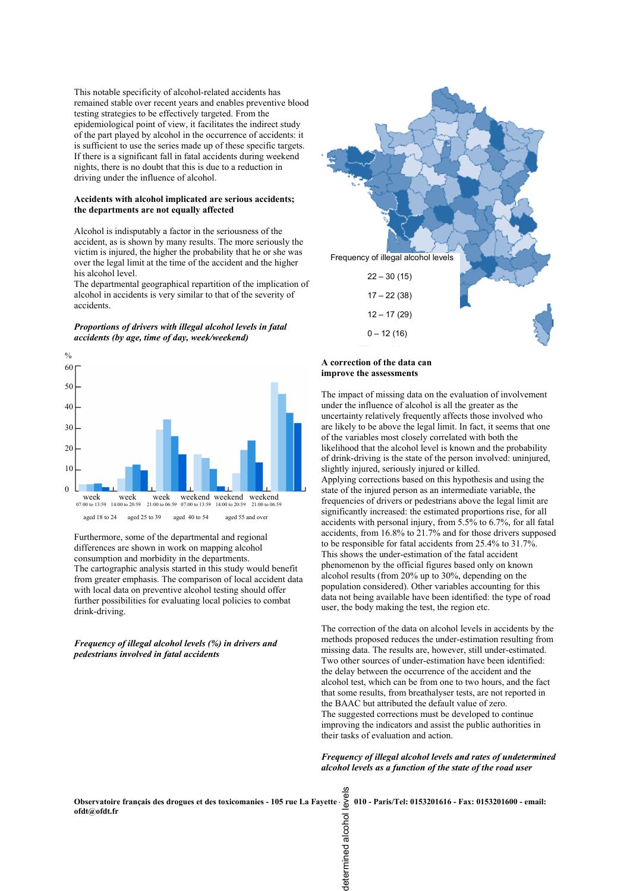This notable specificity of alcohol-related accidents has remained stable over recent years and enables preventive blood testing strategies to be effectively targeted. From the epidemiological point of view, it facilitates the indirect study of the part played by alcohol in the occurrence of accidents: it is sufficient to use the series made up of these specific targets. If there is a significant fall in fatal accidents during weekend nights, there is no doubt that this is due to a reduction in driving under the influence of alcohol.

#### **Accidents with alcohol implicated are serious accidents; the departments are not equally affected**

Alcohol is indisputably a factor in the seriousness of the accident, as is shown by many results. The more seriously the victim is injured, the higher the probability that he or she was over the legal limit at the time of the accident and the higher his alcohol level.

The departmental geographical repartition of the implication of alcohol in accidents is very similar to that of the severity of accidents.

*Proportions of drivers with illegal alcohol levels in fatal accidents (by age, time of day, week/weekend)* 



Furthermore, some of the departmental and regional differences are shown in work on mapping alcohol consumption and morbidity in the departments. The cartographic analysis started in this study would benefit from greater emphasis. The comparison of local accident data with local data on preventive alcohol testing should offer further possibilities for evaluating local policies to combat drink-driving.

#### *Frequency of illegal alcohol levels (%) in drivers and pedestrians involved in fatal accidents*



#### **A correction of the data can improve the assessments**

The impact of missing data on the evaluation of involvement under the influence of alcohol is all the greater as the uncertainty relatively frequently affects those involved who are likely to be above the legal limit. In fact, it seems that one of the variables most closely correlated with both the likelihood that the alcohol level is known and the probability of drink-driving is the state of the person involved: uninjured, slightly injured, seriously injured or killed. Applying corrections based on this hypothesis and using the state of the injured person as an intermediate variable, the frequencies of drivers or pedestrians above the legal limit are significantly increased: the estimated proportions rise, for all accidents with personal injury, from 5.5% to 6.7%, for all fatal accidents, from 16.8% to 21.7% and for those drivers supposed to be responsible for fatal accidents from 25.4% to 31.7%. This shows the under-estimation of the fatal accident phenomenon by the official figures based only on known alcohol results (from 20% up to 30%, depending on the population considered). Other variables accounting for this data not being available have been identified: the type of road user, the body making the test, the region etc.

The correction of the data on alcohol levels in accidents by the methods proposed reduces the under-estimation resulting from missing data. The results are, however, still under-estimated. Two other sources of under-estimation have been identified: the delay between the occurrence of the accident and the alcohol test, which can be from one to two hours, and the fact that some results, from breathalyser tests, are not reported in the BAAC but attributed the default value of zero. The suggested corrections must be developed to continue improving the indicators and assist the public authorities in their tasks of evaluation and action.

*Frequency of illegal alcohol levels and rates of undetermined alcohol levels as a function of the state of the road user* 

**Observatoire français des drogues et des toxicomanies - 105 rue La Fayette - 75 010 - Paris/Tel: 0153201616 - Fax: 0153201600 - email: ofdt@ofdt.fr** determined alcohol levels